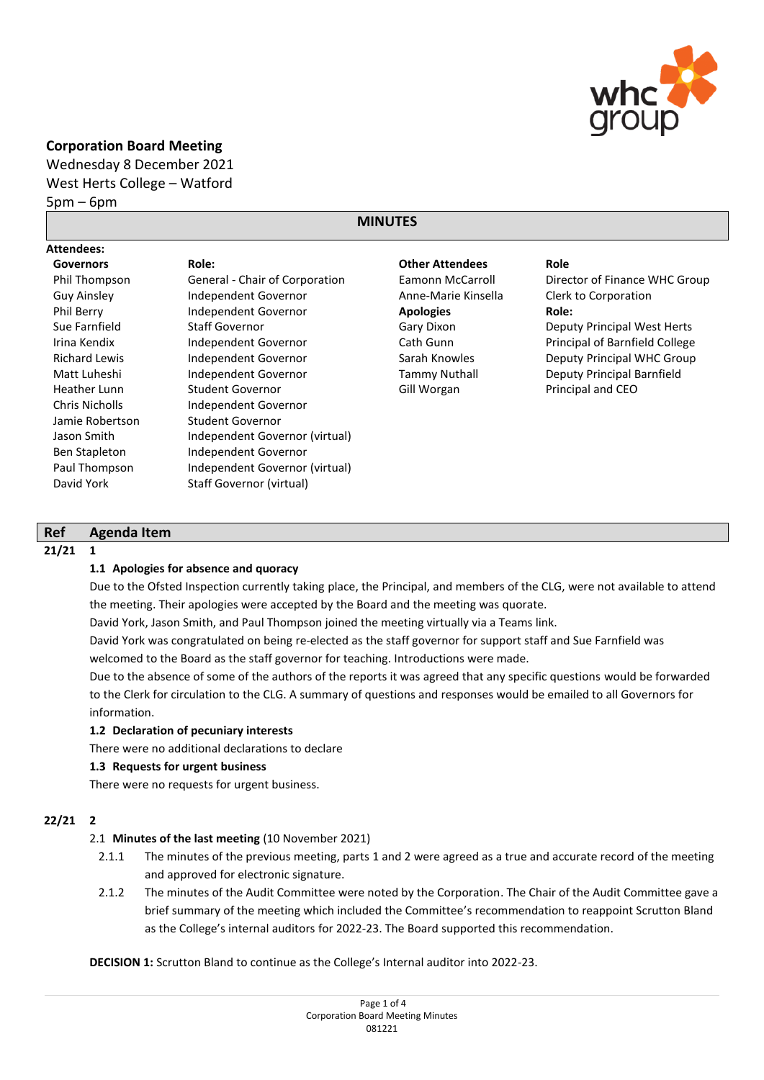

## **Corporation Board Meeting**

Wednesday 8 December 2021 West Herts College – Watford

 $5pm - 6pm$ 

# **MINUTES**

| <b>Attendees:</b>     |                                |                        |                                    |
|-----------------------|--------------------------------|------------------------|------------------------------------|
| <b>Governors</b>      | Role:                          | <b>Other Attendees</b> | Role                               |
| Phil Thompson         | General - Chair of Corporation | Eamonn McCarroll       | Director of Finance WHC Group      |
| <b>Guy Ainsley</b>    | Independent Governor           | Anne-Marie Kinsella    | Clerk to Corporation               |
| Phil Berry            | Independent Governor           | <b>Apologies</b>       | Role:                              |
| Sue Farnfield         | <b>Staff Governor</b>          | Gary Dixon             | <b>Deputy Principal West Herts</b> |
| Irina Kendix          | Independent Governor           | Cath Gunn              | Principal of Barnfield College     |
| <b>Richard Lewis</b>  | Independent Governor           | Sarah Knowles          | Deputy Principal WHC Group         |
| Matt Luheshi          | Independent Governor           | <b>Tammy Nuthall</b>   | Deputy Principal Barnfield         |
| Heather Lunn          | Student Governor               | Gill Worgan            | Principal and CEO                  |
| <b>Chris Nicholls</b> | Independent Governor           |                        |                                    |
| Jamie Robertson       | Student Governor               |                        |                                    |
| Jason Smith           | Independent Governor (virtual) |                        |                                    |
| Ben Stapleton         | Independent Governor           |                        |                                    |
| Paul Thompson         | Independent Governor (virtual) |                        |                                    |
| David York            | Staff Governor (virtual)       |                        |                                    |

### **Ref Agenda Item**

### **21/21 1**

### **1.1 Apologies for absence and quoracy**

Due to the Ofsted Inspection currently taking place, the Principal, and members of the CLG, were not available to attend the meeting. Their apologies were accepted by the Board and the meeting was quorate.

David York, Jason Smith, and Paul Thompson joined the meeting virtually via a Teams link.

David York was congratulated on being re-elected as the staff governor for support staff and Sue Farnfield was welcomed to the Board as the staff governor for teaching. Introductions were made.

Due to the absence of some of the authors of the reports it was agreed that any specific questions would be forwarded to the Clerk for circulation to the CLG. A summary of questions and responses would be emailed to all Governors for information.

### **1.2 Declaration of pecuniary interests**

There were no additional declarations to declare

### **1.3 Requests for urgent business**

There were no requests for urgent business.

### **22/21 2**

### 2.1 **Minutes of the last meeting** (10 November 2021)

- 2.1.1 The minutes of the previous meeting, parts 1 and 2 were agreed as a true and accurate record of the meeting and approved for electronic signature.
- 2.1.2 The minutes of the Audit Committee were noted by the Corporation. The Chair of the Audit Committee gave a brief summary of the meeting which included the Committee's recommendation to reappoint Scrutton Bland as the College's internal auditors for 2022-23. The Board supported this recommendation.

**DECISION 1:** Scrutton Bland to continue as the College's Internal auditor into 2022-23.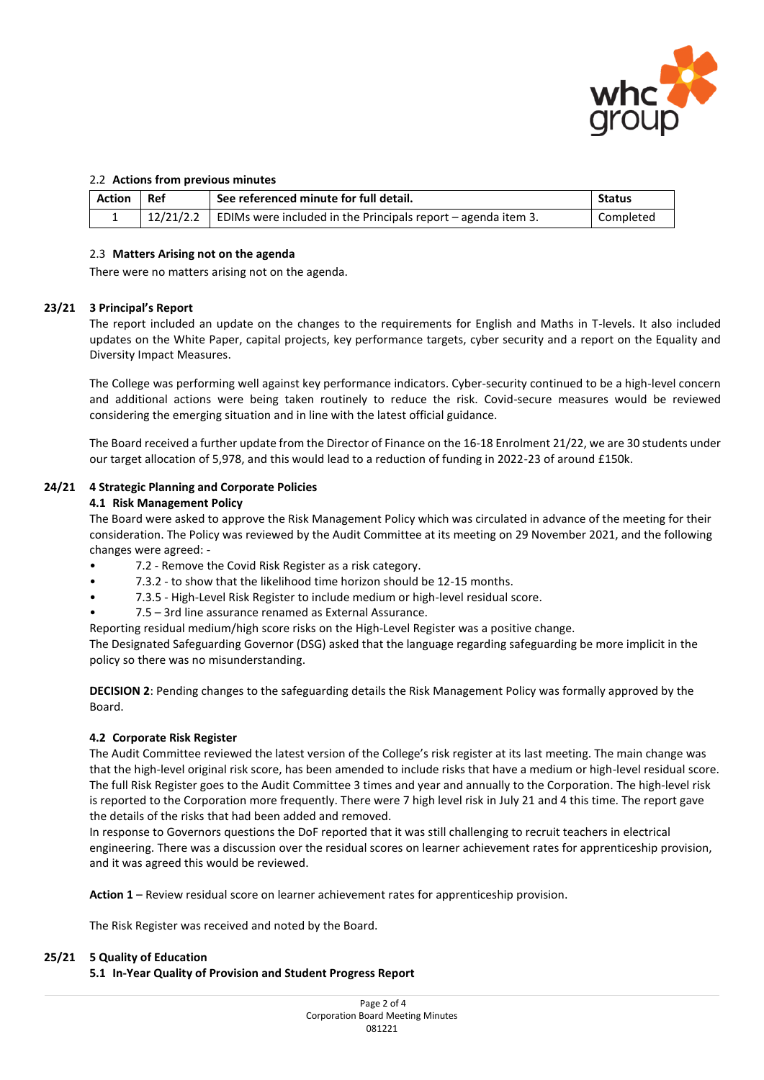

### 2.2 **Actions from previous minutes**

| Action Ref | See referenced minute for full detail.                                            | <b>Status</b> |
|------------|-----------------------------------------------------------------------------------|---------------|
| --         | $\vert$ 12/21/2.2   EDIMs were included in the Principals report – agenda item 3. | Completed     |

#### 2.3 **Matters Arising not on the agenda**

There were no matters arising not on the agenda.

#### **23/21 3 Principal's Report**

The report included an update on the changes to the requirements for English and Maths in T-levels. It also included updates on the White Paper, capital projects, key performance targets, cyber security and a report on the Equality and Diversity Impact Measures.

The College was performing well against key performance indicators. Cyber-security continued to be a high-level concern and additional actions were being taken routinely to reduce the risk. Covid-secure measures would be reviewed considering the emerging situation and in line with the latest official guidance.

The Board received a further update from the Director of Finance on the 16-18 Enrolment 21/22, we are 30 students under our target allocation of 5,978, and this would lead to a reduction of funding in 2022-23 of around £150k.

#### **24/21 4 Strategic Planning and Corporate Policies**

#### **4.1 Risk Management Policy**

The Board were asked to approve the Risk Management Policy which was circulated in advance of the meeting for their consideration. The Policy was reviewed by the Audit Committee at its meeting on 29 November 2021, and the following changes were agreed: -

- 7.2 Remove the Covid Risk Register as a risk category.
- 7.3.2 to show that the likelihood time horizon should be 12-15 months.
- 7.3.5 High-Level Risk Register to include medium or high-level residual score.
- 7.5 3rd line assurance renamed as External Assurance.

Reporting residual medium/high score risks on the High-Level Register was a positive change.

The Designated Safeguarding Governor (DSG) asked that the language regarding safeguarding be more implicit in the policy so there was no misunderstanding.

**DECISION 2**: Pending changes to the safeguarding details the Risk Management Policy was formally approved by the Board.

### **4.2 Corporate Risk Register**

The Audit Committee reviewed the latest version of the College's risk register at its last meeting. The main change was that the high-level original risk score, has been amended to include risks that have a medium or high-level residual score. The full Risk Register goes to the Audit Committee 3 times and year and annually to the Corporation. The high-level risk is reported to the Corporation more frequently. There were 7 high level risk in July 21 and 4 this time. The report gave the details of the risks that had been added and removed.

In response to Governors questions the DoF reported that it was still challenging to recruit teachers in electrical engineering. There was a discussion over the residual scores on learner achievement rates for apprenticeship provision, and it was agreed this would be reviewed.

**Action 1** – Review residual score on learner achievement rates for apprenticeship provision.

The Risk Register was received and noted by the Board.

#### **25/21 5 Quality of Education**

### **5.1 In-Year Quality of Provision and Student Progress Report**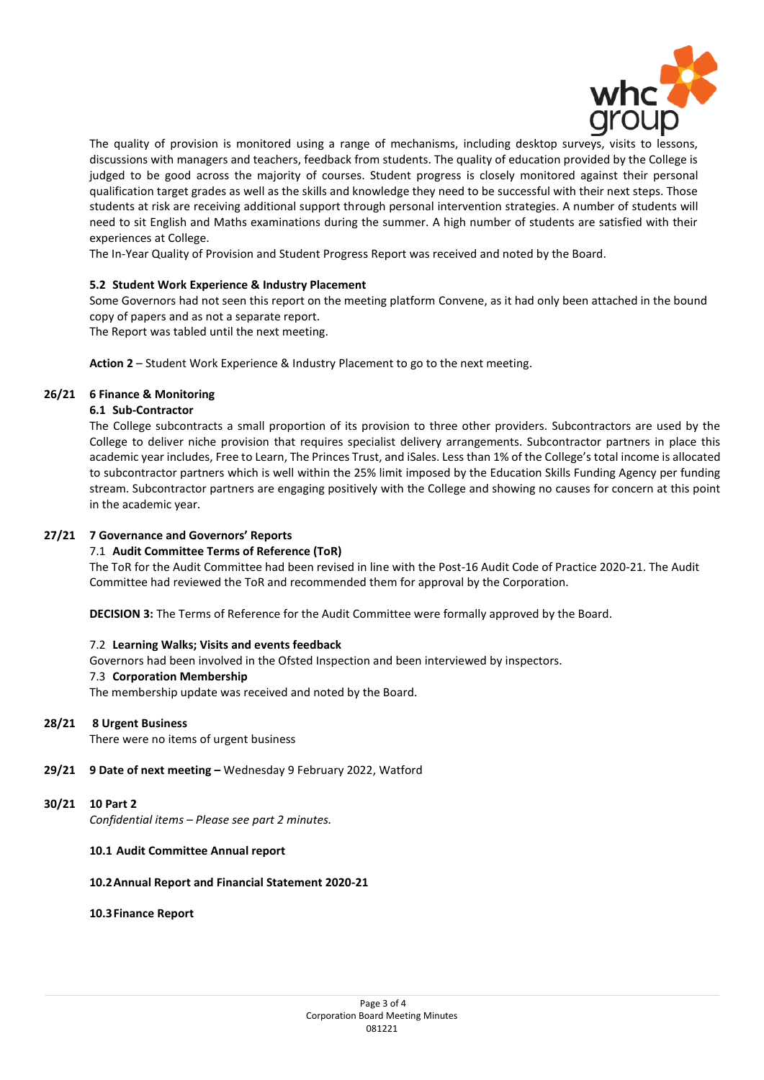

The quality of provision is monitored using a range of mechanisms, including desktop surveys, visits to lessons, discussions with managers and teachers, feedback from students. The quality of education provided by the College is judged to be good across the majority of courses. Student progress is closely monitored against their personal qualification target grades as well as the skills and knowledge they need to be successful with their next steps. Those students at risk are receiving additional support through personal intervention strategies. A number of students will need to sit English and Maths examinations during the summer. A high number of students are satisfied with their experiences at College.

The In-Year Quality of Provision and Student Progress Report was received and noted by the Board.

### **5.2 Student Work Experience & Industry Placement**

Some Governors had not seen this report on the meeting platform Convene, as it had only been attached in the bound copy of papers and as not a separate report.

The Report was tabled until the next meeting.

**Action 2** – Student Work Experience & Industry Placement to go to the next meeting.

### **26/21 6 Finance & Monitoring**

### **6.1 Sub-Contractor**

The College subcontracts a small proportion of its provision to three other providers. Subcontractors are used by the College to deliver niche provision that requires specialist delivery arrangements. Subcontractor partners in place this academic year includes, Free to Learn, The Princes Trust, and iSales. Less than 1% of the College's total income is allocated to subcontractor partners which is well within the 25% limit imposed by the Education Skills Funding Agency per funding stream. Subcontractor partners are engaging positively with the College and showing no causes for concern at this point in the academic year.

### **27/21 7 Governance and Governors' Reports**

### 7.1 **Audit Committee Terms of Reference (ToR)**

The ToR for the Audit Committee had been revised in line with the Post-16 Audit Code of Practice 2020-21. The Audit Committee had reviewed the ToR and recommended them for approval by the Corporation.

**DECISION 3:** The Terms of Reference for the Audit Committee were formally approved by the Board.

### 7.2 **Learning Walks; Visits and events feedback**

Governors had been involved in the Ofsted Inspection and been interviewed by inspectors.

#### 7.3 **Corporation Membership**

The membership update was received and noted by the Board.

### **28/21 8 Urgent Business**

There were no items of urgent business

**29/21 9 Date of next meeting –** Wednesday 9 February 2022, Watford

#### **30/21 10 Part 2**

*Confidential items – Please see part 2 minutes.* 

#### **10.1 Audit Committee Annual report**

#### **10.2Annual Report and Financial Statement 2020-21**

**10.3Finance Report**